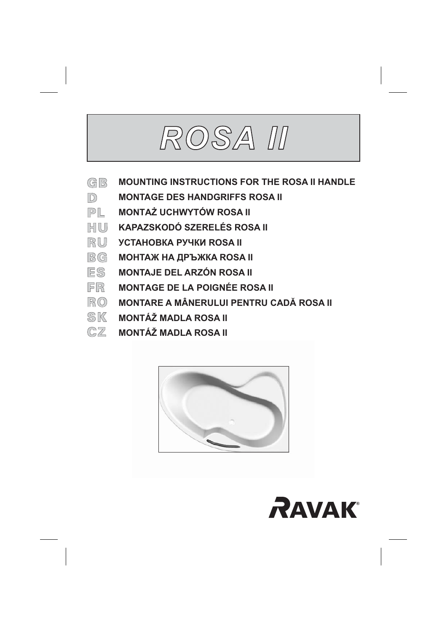# ROSA II

- GB **MOUNTING INSTRUCTIONS FOR THE ROSA II HANDLE**
- $\mathbb{D}$ **MONTAGE DES HANDGRIFFS ROSA II**
- $PL$ **MONTAŻ UCHWYTÓW ROSA II**
- HIUJ KAPAZSKODÓ SZERELÉS ROSA II
- RU **VCTAHORKA PVYKU ROSA II**
- **BG MOHTAЖ НА ДРЪЖКА ROSA II**
- ES MONTAJE DEL ARZÓN ROSA II
- FR **MONTAGE DE LA POIGNÉE ROSA II**
- $\mathbb{R}$  ( $\odot$  MONTARE A MÂNERULUI PENTRU CADĂ ROSA II
- **SK MONTÁŽ MADLA ROSA II**
- $CZ$  MONTÁŽ MADLA ROSA II



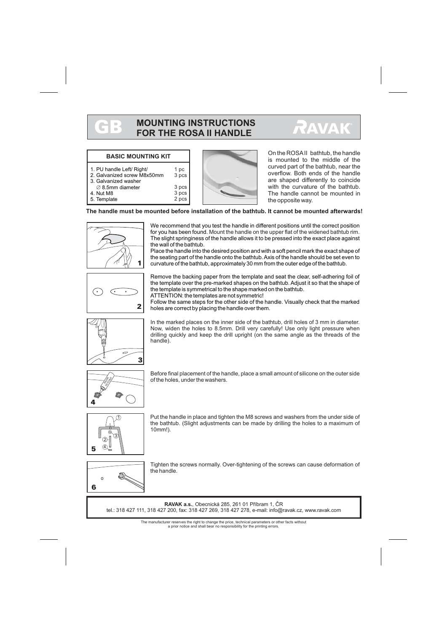# GB

### **MOUNTING INSTRUCTIONS FOR THE ROSA II HANDLE**



#### **BASIC MOUNTING KIT**

| 1. PU handle Left/ Right/   |
|-----------------------------|
| 2. Galvanized screw M8x50mm |

- 3. Galvanized washer
- $\varnothing$  8.5mm diameter
- 4. Nut M8
- 5. Template

3 pcs 3 pcs 3 pcs 2 pcs

 $1nc$ 



On the ROSAII bathtub, the handle is mounted to the middle of the curved part of the bathtub, near the overflow. Both ends of the handle are shaped differently to coincide with the curvature of the bathtub. The handle cannot be mounted in the opposite way.

**The handle must be mounted before installation of the bathtub. It cannot be mounted afterwards!**



We recommend that you test the handle in different positions until the correct position for you has been found. Mount the handle on the upper flat of the widened bathtub rim. The slight springiness of the handle allows it to be pressed into the exact place against the wall of the bathtub.

Place the handle into the desired position and with a soft pencil mark the exact shape of the seating part of the handle onto the bathtub.Axis of the handle should be set even to curvature of the bathtub, approximately 30 mm from the outer edge of the bathtub.



Remove the backing paper from the template and seat the clear, self-adhering foil of the template over the pre-marked shapes on the bathtub. Adjust it so that the shape of the template is symmetrical to the shape marked on the bathtub. ATTENTION: the templates are not symmetric!

Follow the same steps for the other side of the handle. Visually check that the marked holes are correct by placing the handle over them.



In the marked places on the inner side of the bathtub, drill holes of 3 mm in diameter. Now, widen the holes to 8.5mm. Drill very carefully! Use only light pressure when drilling quickly and keep the drill upright (on the same angle as the threads of the handle).



Before final placement of the handle, place a small amount of silicone on the outer side of the holes, under the washers.



Put the handle in place and tighten the M8 screws and washers from the under side of the bathtub. (Slight adjustments can be made by drilling the holes to a maximum of 10mm!).



Tighten the screws normally. Over-tightening of the screws can cause deformation of the handle.

**RAVAK a.s., Obecnická 285, 261 01 Příbram 1, ČR** tel.: 318 427 111, 318 427 200, fax: 318 427 269, 318 427 278, e-mail: info@ravak.cz, www.ravak.com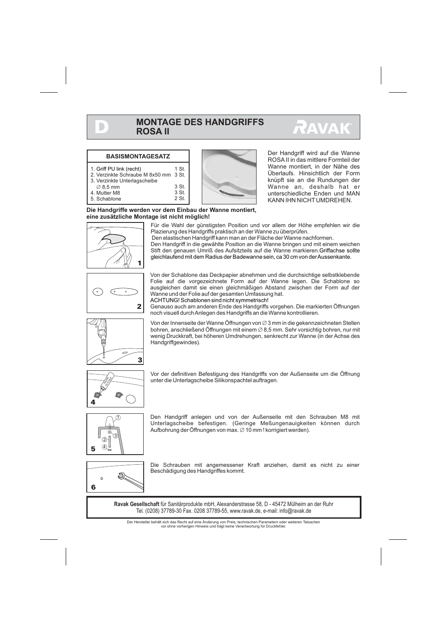

#### **BASISMONTAGESATZ**

- 1. Griff PU link (recht)
- 2. Verzinkte Schraube M 8x50 mm 3 St.
- 3. Verzinkte Unterlagscheibe
- $\varnothing$  8,5 mm
- 4. Mutter M8
- 5. Schablone

D

1 St. 3 St. 3 St. 2 St.



Der Handgriff wird auf die Wanne ROSA II in das mittlere Formteil der Wanne montiert, in der Nähe des Überlaufs. Hinsichtlich der Form knüpft sie an die Rundungen der Wanne an, deshalb hat er unterschiedliche Enden und MAN KANN IHN NICHT UMDREHEN.

#### **Die Handgriffe werden vor dem Einbau der Wanne montiert, eine zusätzliche Montage ist nicht möglich!**



Für die Wahl der günstigsten Position und vor allem der Höhe empfehlen wir die Plazierung des Handgriffs praktisch an der Wanne zu überprüfen.

Den elastischen Handgriff kann man an der Fläche der Wanne nachformen.

Den Handgriff in die gewählte Position an die Wanne bringen und mit einem weichen Stift den genauen Umriß des Aufsitzteils auf die Wanne markieren.Griffachse sollte gleichlaufend mit dem Radius der Badewanne sein, ca 30 cm von derAussenkante.



Von der Schablone das Deckpapier abnehmen und die durchsichtige selbstklebende Folie auf die vorgezeichnete Form auf der Wanne legen. Die Schablone so ausgleichen damit sie einen gleichmäßigen Abstand zwischen der Form auf der Wanne und der Folie auf der gesamten Umfassung hat. ACHTUNG! Schablonen sind nicht symmetrisch!

Genauso auch am anderen Ende des Handgriffs vorgehen. Die markierten Öffnungen noch visuell durchAnlegen des Handgriffs an die Wanne kontrollieren.

ے 3

Von der Innenseite der Wanne Öffnungen von  $\varnothing$  3 mm in die gekennzeichneten Stellen bohren, anschließend Öffnungen mit einem  $\varnothing$  8,5 mm. Sehr vorsichtig bohren, nur mit wenig Druckkraft, bei höheren Umdrehungen, senkrecht zur Wanne (in der Achse des Handgriffgewindes).



Vor der definitiven Befestigung des Handgriffs von der Außenseite um die Öffnung unter die Unterlagscheibe Silikonspachtel auftragen.



Den Handgriff anlegen und von der Außenseite mit den Schrauben M8 mit Unterlagscheibe befestigen. (Geringe Meßungenauigkeiten können durch Aufbohrung der Öffnungen von max. Ø 10 mm ! korrigiert werden).



Die Schrauben mit angemessener Kraft anziehen, damit es nicht zu einer Beschädigung des Handgriffes kommt.

**Ravak Gesellschaft** für Sanitärprodukte mbH, Alexanderstrasse 58, D - 45472 Mülheim an der Ruhr Tel. (0208) 37789-30 Fax. 0208 37789-55, www.ravak.de, e-mail: info@ravak.de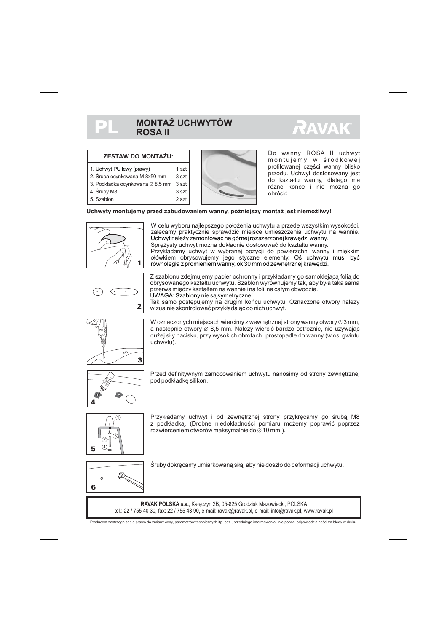$1$  ezt

3 szt 2 szt



#### **ZESTAW DO MONTAŻU:**

- 2. Śruba ocynkowana M 8x50 mm 3 szt
- 3. Podkładka ocynkowana ∅ 8,5 mm 3 szt
- 4. Œruby M8
- 5. Szablon



Do wanny ROSA II uchwyt montujemy w środkowej profilowanej części wanny blisko przodu. Uchwyt dostosowany jest do kształtu wanny, dlatego ma różne końce i nie można go obróciæ.

#### Uchwyty montujemy przed zabudowaniem wanny, późniejszy montaż jest niemożliwy!



W celu wyboru najlepszego położenia uchwytu a przede wszystkim wysokości, zalecamy praktycznie sprawdzić miejsce umieszczenia uchwytu na wannie. Spreżysty uchwyt można dokładnie dostosować do kształtu wanny. Przykładamy uchwyt w wybranej pozycji do powierzchni wanny i miękkim ołówkiem obrysowujemy jego styczne elementy. Oś uchwytu musi być Uchwyt należy zamontować na górnej rozszerzonej krawędzi wanny.

równoległa z promieniem wanny, ok 30 mm od zewnętrznej krawędzi.



Z szablonu zdejmujemy papier ochronny i przykładamy go samoklejąca folia do obrysowanego kształtu uchwytu. Szablon wyrównujemy tak, aby była taka sama przerwa między kształtem na wannie i na folii na całym obwodzie. UWAGA: Szablony nie są symetryczne!

Tak samo postêpujemy na drugim koñcu uchwytu. Oznaczone otwory nale¿y wizualnie skontrolować przykładając do nich uchwyt.



W oznaczonych miejscach wiercimy z wewnętrznej strony wanny otwory  $\varnothing$  3 mm, a następnie otwory  $\varnothing$  8,5 mm. Należy wiercić bardzo ostrożnie, nie używając dużej siły nacisku, przy wysokich obrotach prostopadle do wanny (w osi gwintu uchwytu).



Przed definitywnym zamocowaniem uchwytu nanosimy od strony zewnętrznej pod podkładke silikon.



Przykładamy uchwyt i od zewnętrznej strony przykręcamy go śrubą M8 z podkładką. (Drobne niedokładności pomiaru możemy poprawić poprzez rozwierceniem otworów maksymalnie do  $\varnothing$  10 mm!).



Śruby dokręcamy umiarkowaną siłą, aby nie doszło do deformacji uchwytu.

RAVAK POLSKA s.a., Kałęczyn 2B, 05-825 Grodzisk Mazowiecki, POLSKA tel.: 22 / 755 40 30, fax: 22 / 755 43 90, e-mail: ravak@ravak.pl, e-mail: info@ravak.pl, www.ravak.pl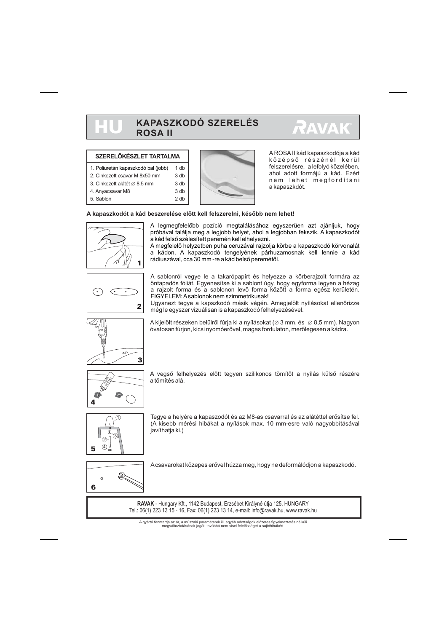## **KAPASZKODÓ SZERELÉS ROSA II**



#### **SZERELÕKÉSZLET TARTALMA**

- 1. Poliuretán kapaszkodó bal (jobb) 1 db
- 2. Cinkezett csavar M 8x50 mm
- 3. Cinkezett alátét  $\varnothing$  8,5 mm
- 4. Anyacsavar M8

**HU** 

5. Sablon



A ROSA II kád kapaszkodója a kád középsõ részénél kerül felszerelésre, a lefolyó közelében, ahol adott formájú a kád. Ezért nem lehet megfordítani a kapaszkdót.

#### **A kapaszkodót a kád beszerelése elõtt kell felszerelni, késõbb nem lehet!**

3 db 2 db



A legmegfelelõbb pozíció megtalálásához egyszerûen azt ajánljuk, hogy próbával találja meg a legjobb helyet, ahol a legjobban fekszik. A kapaszkodót a kád felsõ szélesített peremén kell elhelyezni.

A megfelelõ helyzetben puha ceruzával rajzolja körbe a kapaszkodó körvonalát a kádon. A kapaszkodó tengelyének párhuzamosnak kell lennie a kád rádiuszával, cca 30 mm -re a kád belsõ peremétõl.



A sablonról vegye le a takarópapírt és helyezze a körberajzolt formára az öntapadós fóliát. Egyenesítse ki a sablont úgy, hogy egyforma legyen a hézag a rajzolt forma és a sablonon levõ forma között a forma egész kerületén. FIGYELEM:A sablonok nem szimmetrikusak!

Ugyanezt tegye a kapszkodó másik végén. Amegjelölt nyílásokat ellenõrizze még le egyszer vizuálisan is a kapaszkodó felhelyezésével.



A kijelölt részeken belülről fúrja ki a nyílásokat (∅ 3 mm, és ∅ 8,5 mm). Nagyon óvatosan fúrjon, kicsi nyomóerõvel, magas fordulaton, merõlegesen a kádra.



A vegsõ felhelyezés elõtt tegyen szilikonos tömítõt a nyílás külsõ részére a tömítés alá.



Tegye a helyére a kapaszodót és az M8-as csavarral és az alátéttel erõsítse fel. (A kisebb mérési hibákat a nyílások max. 10 mm-esre való nagyobbításával javíthatia ki.)



A csavarokat közepes erõvel húzza meg, hogy ne deformálódjon a kapaszkodó.

**RAVAK** - Hungary Kft., 1142 Budapest, Erzsébet Királyné útja 125, HUNGARY Tel.: 06(1) 223 13 15 - 16, Fax: 06(1) 223 13 14, e-mail: info@ravak.hu, www.ravak.hu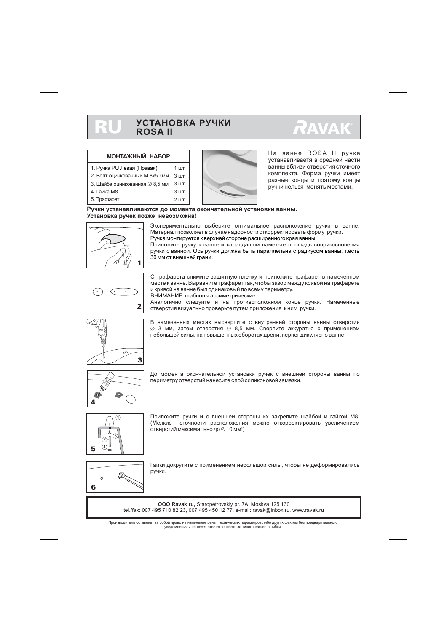#### **УСТАНОВКА РУЧКИ ROSA II** RU

# **RAVAK**

#### **МОНТАЖНЫЙ НАБОР**

- 1. Ручка PU Левая (Правая) 1 шт.
- 2. Болт оцинкованный M 8x50 мм  $3 \mu$ T
- $3.$  Шайба оцинкованная  $\varnothing$  8,5 мм  $3$  шт.
- 4. Гайка М8
- 5. Трафарет



Ha ванне ROSA II ручка vстанавливаетя в средней части ванны вблизи отверстия сточного комплекта. Форма ручки имеет разные концы и поэтому концы ручки нельзя менять местами.

Ручки устанавливаются до момента окончательной установки ванны. Установка ручек позже невозможна!

 $3<sub>III</sub>$  $2<sub>W</sub>$ 



Экспериментально выберите оптимальное расположение ручки в ванне. Материал позволяет в случае надобности откорректировать форму ручки. Ручка монтируется к верхней стороне расширенного края ванны.

Приложите ручку к ванне и карандашом наметьте площадь соприкосновения ручки с ванной. Ось ручки должна быть параллельна с радиусом ванны, т.есть  $30$  мм от внешней грани.



С трафарета снимите защитную пленку и приложите трафарет в намеченном месте к ванне. Выравните трафарет так, чтобы зазор между кривой на трафарете и кривой на ванне был одинаковый по всему периметру.

ВНИМАНИЕ: шаблоны ассиметрические.

Аналогично следуйте и на противоположном конце ручки. Намеченные отверстия визуально проверьте путем приложения кним ручки.



В намеченных местах высверлите с внутренней стороны ванны отверстия  $\varnothing$  3 мм, затем отверстия  $\varnothing$  8,5 мм. Сверлите аккуратно с применением небольшой силы, на повышенных оборотах дрели, перпендикулярно ванне.



До момента окончательной установки ручек с внешней стороны ванны по периметру отверстий нанесите слой силиконовой замазки.



Приложите ручки и с внешней стороны их закрепите шайбой и гайкой М8. (Мелкие неточности расположения можно откорректировать увеличением отверстий максимально до  $\varnothing$  10 мм!)



Гайки докрутите с применением небольшой силы, чтобы не деформировались ручки.

**OOO Ravak ru,** Staropetrovskiy pr. 7A, Moskva 125 130 tel./fax: 007 495 710 82 23, 007 495 450 12 77, e-mail: ravak@inbox.ru, www.ravak.ru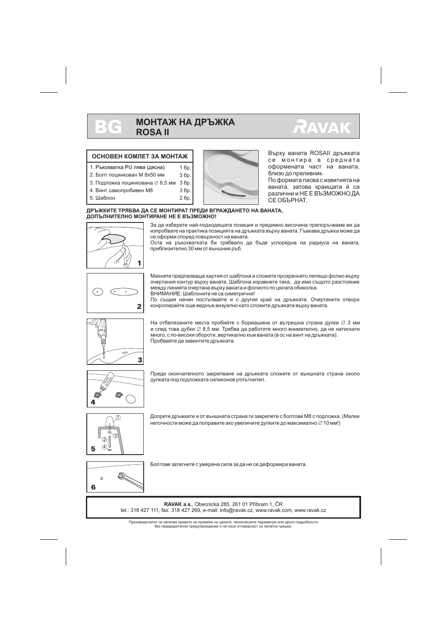## **МОНТАЖ НА ДРЪЖКА ROSA II**



#### ОСНОВЕН КОМПЕТ ЗА МОНТАЖ

- 1. Ръкохватка PU лява (дясна)
- 2. Болт поцинкован M 8x50 мм З бр.
- 3. Подложка поцинкована ⊘8.5 мм 3 бр.
- 4. Винт самопробивен М8
- 5 IIIañnou

 $\sim$ 



Върху ваната ROSAII дръжката се монтира в средната оформената част на ваната. близо до преливник.

По формата пасва с извитията на ваната, затова краищата й са различни и НЕ Е ВЪЗМОЖНО ДА СЕ ОБЪРНАТ.

#### ДРЪЖКИТЕ ТРЯБВА ДА СЕ МОНТИРАТ ПРЕДИ ВГРАЖДАНЕТО НА ВАНАТА. ДОПЪЛНИТЕЛНО МОНТИРАНЕ НЕ Е ВЪЗМОЖНО!

3 бр.

 $26p.$ 

 $16p.$ 



За да изберете най-подходящата позиция и предимно височина препоръчваме ви да изпробвате на практика позицията на дръжката върху ваната. Гъвкава дръжка може да се оформи според повърхност на ваната.

Оста на ръкохватката би трябвало да бъде успоредна на радиуса на ваната. приблизително 30 мм от външния ръб.



Махнете предпазваща хартия от шаблона и сложете прозрачнато лепящо фолио върху очертания контур върху ваната. Шаблона изравнете така, да има същото разстояние между линията очертана върху ваната и фолиото по цялата обиколка. ВНИМАНИЕ: Шаблоните не са симетрични!

По същия начин постъпвайте и с другия край на дръжката. Очертаните отвори конролирайте още веднъж визуално като сложите дръжката върху ваната.



На отбелязаните места пробийте с бормашина от вътрешна страна дупки  $\varnothing$  3 мм и след това дубки  $\varnothing$  8.5 мм. Трябва да работите много внимателно, да не натискате много, с по-високи обороти, вертикално към ваната (в ос на винт на дръжката). Пробвайте да завинтите дръжката.



Преди окончателното закрепване на дръжката сложете от външната страна около дупката под подложката силиконов уплътнител.



Допрете дръжките и от външната страна ги закрепете с болтове М8 с подложка. (Малки неточности може да поправите ако увеличите дупките до максимално  $\varnothing$  10 мм!)



Болтове затегнете с умерена сила за да не се деформира ваната.

RAVAK a.s., Obecnická 285, 261 01 Příbram 1. ČR tel.: 318 427 111, fax: 318 427 269, e-mail: info@ravak.cz, www.ravak.com, www.ravak.cz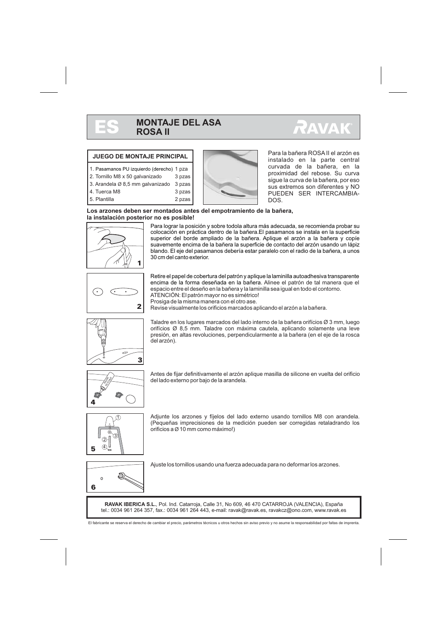



#### **JUEGO DE MONTAJE PRINCIPAL**

- 1. Pasamanos PU izquierdo (derecho) 1 pza
- 2. Tornillo M8 x 50 galvanizado 3 pzas
- 3. Arandela Ø 8,5 mm galvanizado 3 pzas
- 4. Tuerca M8
- 5. Plantilla
- 



Para la bañera ROSA II el arzón es instalado en la parte central curvada de la bañera, en la proximidad del rebose. Su curva sigue la curva de la bañera, por eso sus extremos son diferentes y NO PUEDEN SER INTERCAMBIA-DOS.

#### **Los arzones deben ser montados antes del empotramiento de la bañera, la instalación posterior no es posible!**

3 pzas 2 pzas



Para lograr la posición y sobre todola altura más adecuada, se recomienda probar su colocación en práctica dentro de la bañera.El pasamanos se instala en la superficie superior del borde ampliado de la bañera. Aplique el arzón a la bañera y copíe suavemente encima de la bañera la superficie de contacto del arzón usando un lápiz blando. El eje del pasamanos debería estar paralelo con el radio de la bañera, a unos 30 cm del canto exterior.



Retire el papel de cobertura del patrón y aplique la laminilla autoadhesiva transparente encima de la forma deseñada en la bañera. Alinee el patrón de tal manera que el espacio entre el deseño en la bañera y la laminilla sea igual en todo el contorno. ATENCIÓN: El patrón mayor no es simétrico!

Prosiga de la misma manera con el otro ase.

Revise visualmente los orificios marcados aplicando el arzón a la bañera.



Taladre en los lugares marcados del lado interno de la bañera orifícios Ø 3 mm, luego orifícios Ø 8,5 mm. Taladre con máxima cautela, aplicando solamente una leve presión, en altas revoluciones, perpendicularmente a la bañera (en el eje de la rosca del arzón).



Antes de fijar definitivamente el arzón aplique masilla de silicone en vuelta del orificio del lado externo por bajo de la arandela.



Adjunte los arzones y fíjelos del lado externo usando tornillos M8 con arandela. (Pequeñas imprecisiones de la medición pueden ser corregidas retaladrando los orificios a  $\varnothing$  10 mm como máximo!)



Ajuste los tornillos usando una fuerza adecuada para no deformar los arzones.

RAVAK IBERICA S.L., Pol. Ind. Catarroja, Calle 31, No 609, 46 470 CATARROJA (VALENCIA), España tel.: 0034 961 264 357, fax.: 0034 961 264 443, e-mail: ravak@ravak.es, ravakcz@ono.com, www.ravak.es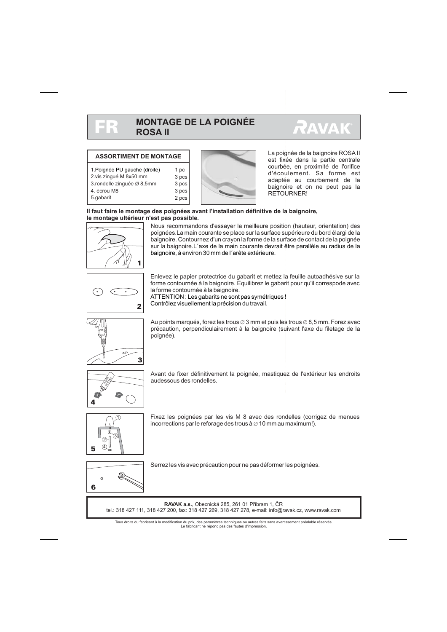

### **MONTAGE DE LA POIGNÉE ROSA II**

1 pc 3 pcs 3 pcs 3 pcs 2 pcs



#### **ASSORTIMENT DE MONTAGE**

- 1. Poignée PU gauche (droite)
- 2.vis zingué M 8x50 mm
- 3.rondelle zinguée Ø 8,5mm
- 4. écrou M8
- 5.gabarit



La poignée de la baignoire ROSA II est fixée dans la partie centrale courbée, en proximité de l'orifice d'écoulement. Sa forme est adaptée au courbement de la baignoire et on ne peut pas la RETOURNER!

#### **Il faut faire le montage des poignées avant l'installation définitive de la baignoire, le montage ultérieur n'est pas possible.**



Nous recommandons d'essayer la meilleure position (hauteur, orientation) des poignées. La main courante se place sur la surface supérieure du bord élargi de la baignoire. Contournez d'un crayon la forme de la surface de contact de la poignée sur la baignoire. L´axe de la main courante devrait être parallèle au radius de la baignoire, à environ 30 mm de l´arête extérieure.



Enlevez le papier protectrice du gabarit et mettez la feuille autoadhésive sur la forme contournée à la baignoire. Equilibrez le gabarit pour qu'il correspode avec la forme contournée à la baignoire.

ATTENTION : Les gabarits ne sont pas symétriques ! Contrôlez visuellement la précision du travail.



Au points marqués, forez les trous  $\varnothing$  3 mm et puis les trous  $\varnothing$  8,5 mm. Forez avec précaution, perpendiculairement à la baignoire (suivant l'axe du filetage de la poignée).



Avant de fixer définitivement la poignée, mastiquez de l'extérieur les endroits audessous des rondelles.



Fixez les poignées par les vis M 8 avec des rondelles (corrigez de menues incorrections par le reforage des trous à  $\varnothing$  10 mm au maximum!).



Serrez les vis avec précaution pour ne pas déformer les poignées.

**RAVAK a.s.**, Obecnická 285, 261 01 Příbram 1, ČR tel.: 318 427 111, 318 427 200, fax: 318 427 269, 318 427 278, e-mail: info@ravak.cz, www.ravak.com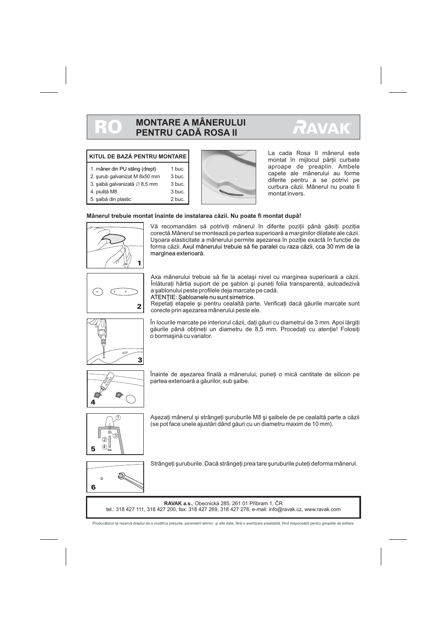# RO

# **MONTARE A MÂNERULUI PENTRU CADÃ ROSA II**



#### **KITUL DE BAZÃ PENTRU MONTARE**

| 1. mâner din PU stâng (drept) | 1 buc. |
|-------------------------------|--------|
| 2. surub galvanizat M 8x50 mm | 3 buc. |
| 3. saibă galvanizată ∅ 8,5 mm | 3 buc. |
| 4. piulită M8                 | 3 buc. |
| 5. saibă din plastic          | 2 buc. |



La cada Rosa II mânerul este montat în mijlocul părții curbate aproape de preaplin. Ambele capete ale mânerului au forme diferite pentru a se potrivi pe curbura cãzii. Mânerul nu poate fi montat invers.

#### **Mânerul trebuie montat înainte de instalarea cãzii. Nu poate fi montat dupã!**



Vă recomandăm să potriviti mânerul în diferite pozitii până găsiti pozitia corectã.Mânerul se monteazã pe partea superioarã a marginilor dilatate ale cãzii. U soara elasticitate a mânerului permite a sezarea în poziție exactă în funcție de forma cãzii. Axul mânerului trebuie sã fie paralel cu raza cãzii, cca 30 mm de la marginea exterioarã.



Axa mânerului trebuie să fie la același nivel cu marginea superioară a căzii. Înlăturati hârtia suport de pe sablon si puneti folia transparentă, autoadezivă a sablonului peste profilele deja marcate pe cadă.

ATENTIE: Sabloanele nu sunt simetrice.

Repetati etapele și pentru cealaltă parte. Verificati dacă găurile marcate sunt corecte prin asezarea mânerului peste ele.



În locurile marcate pe interiorul căzii, dați găuri cu diametrul de 3 mm. Apoi lărgiți găurile până obțineți un diametru de 8,5 mm. Procedați cu atenție! Folosiți o bormasină cu variator.



Înainte de asezarea finală a mânerului, puneti o mică cantitate de silicon pe partea exterioară a găurilor, sub șaibe.



 $\Omega$ 6

A sezați mânerul și strângeți șuruburile M8 și șaibele de pe cealaltă parte a căzii (se pot face unele ajustãri dând gãuri cu un diametru maxim de 10 mm).



Strângeti suruburile. Dacă strângeți prea tare suruburile puteți deforma mânerul.

**RAVAK a.s., Obecnická 285, 261 01 Příbram 1, ČR** tel.: 318 427 111, 318 427 200, fax: 318 427 269, 318 427 278, e-mail: info@ravak.cz, www.ravak.com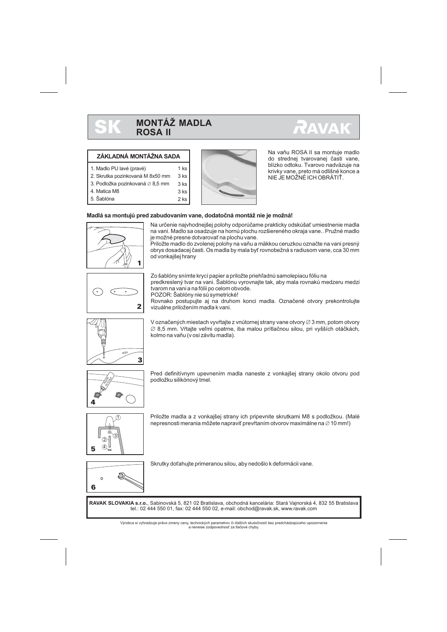

 $1$  ks

 $3$  ks 3 ks 2 ks



#### **ZÁKLADNÁ MONTÁŽNA SADA**

- 2. Skrutka pozinkovaná M 8x50 mm 3 ks
- 3. Podložka pozinkovaná  $\varnothing$  8,5 mm
- 4. Matica M8
- 5. Šablóna



Na vaňu ROSA II sa montuje madlo do strednei tvarovanei časti vane. blízko odtoku. Tvarovo nadväzuje na krivky vane, preto má odlišné konce a NIE JE MOŽNÉ ICH OBRÁTIŤ.

#### **Madlá sa montujú pred zabudovaním vane, dodatoèná montáž nie je možná!**



Na urèenie najvhodnejšej polohy odporúèame prakticky odskúšať umiestnenie madla na vani. Madlo sa osadzuje na hornú plochu rozšiereného okraja vane.. Pružné madlo je možné presne dotvarovať na plochu vane.

Priložte madlo do zvolenej polohy na vaňu a mäkkou ceruzkou označte na vani presný obrys dosadacej èasti. Os madla by mala byť rovnobežná s radiusom vane, cca 30 mm od vonkajšej hrany



Zo šablóny snímte krycí papier a priložte priehľadnú samolepiacu fóliu na predkreslený tvar na vani. Šablónu vyrovnajte tak, aby mala rovnakú medzeru medzi tvarom na vani a na fólii po celom obvode.

POZOR: Šablóny nie sú symetrické!

Rovnako postupujte aj na druhom konci madla. Označené otvory prekontrolujte vizuálne priložením madla k vani.



V označených miestach vyvŕtajte z vnútornej strany vane otvory  $\varnothing$  3 mm, potom otvory  $\varnothing$  8,5 mm. Vŕtajte veľmi opatrne, iba malou prítlačnou silou, pri vyšších otáčkách, kolmo na vaňu (v osi závitu madla).



Pred definitívnym upevnením madla naneste z vonkajšej strany okolo otvoru pod podložku silikónový tmel.



Priložte madla a z vonkajšej strany ich pripevnite skrutkami M8 s podložkou. (Malé nepresnosti merania môžete napraviť prevŕtaním otvorov maximálne na  $\varnothing$  10 mm!)



Skrutky doťahujte primeranou silou, aby nedošlo k deformácii vane.

**RAVAK SLOVAKIA s.r.o.**, Sabinovská 5, 821 02 Bratislava, obchodná kancelária: Stará Vajnorská 4, 832 55 Bratislava tel.: 02 444 550 01, fax: 02 444 550 02, e-mail: obchod@ravak.sk, www.ravak.com